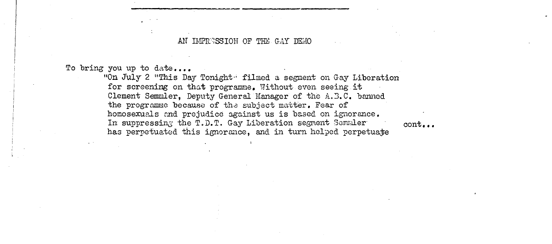AN IMPRESSION OF THE GAY DEMO

To bring you up to date....

"On July 2 "This Day Tonight" filmed a segment on Gay Liberation for screening on that programme. Without even seeing it Clement Semmler. Deputy General Manager of the A.B.C. banned the programme because of the subject matter. Fear of homosexuals and prejudice against us is based on ignorance. In suppressing the T.D.T. Gay Liberation segment Semmler  $cont.$ ... has perpetuated this ignorance, and in turn helped perpetuate